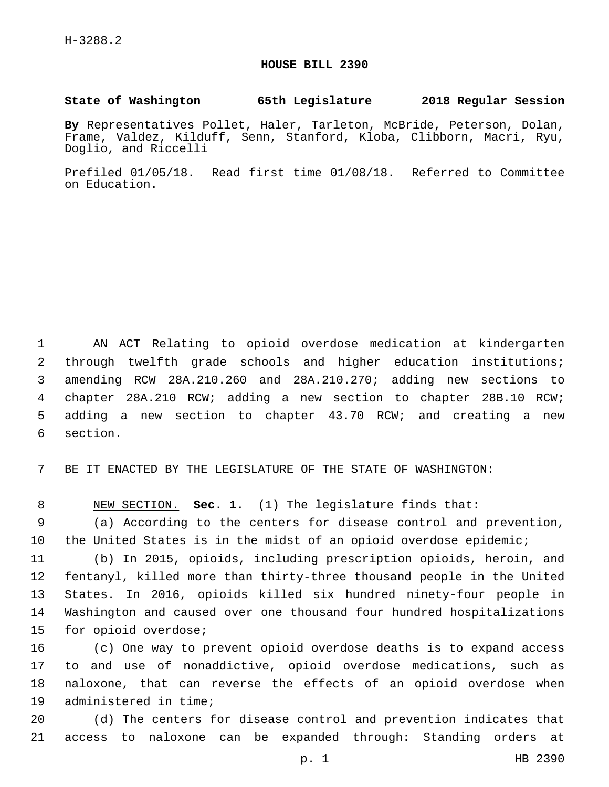## **HOUSE BILL 2390**

## **State of Washington 65th Legislature 2018 Regular Session**

**By** Representatives Pollet, Haler, Tarleton, McBride, Peterson, Dolan, Frame, Valdez, Kilduff, Senn, Stanford, Kloba, Clibborn, Macri, Ryu, Doglio, and Riccelli

Prefiled 01/05/18. Read first time 01/08/18. Referred to Committee on Education.

 AN ACT Relating to opioid overdose medication at kindergarten through twelfth grade schools and higher education institutions; amending RCW 28A.210.260 and 28A.210.270; adding new sections to chapter 28A.210 RCW; adding a new section to chapter 28B.10 RCW; adding a new section to chapter 43.70 RCW; and creating a new 6 section.

7 BE IT ENACTED BY THE LEGISLATURE OF THE STATE OF WASHINGTON:

8 NEW SECTION. **Sec. 1.** (1) The legislature finds that:

9 (a) According to the centers for disease control and prevention, 10 the United States is in the midst of an opioid overdose epidemic;

 (b) In 2015, opioids, including prescription opioids, heroin, and fentanyl, killed more than thirty-three thousand people in the United States. In 2016, opioids killed six hundred ninety-four people in Washington and caused over one thousand four hundred hospitalizations 15 for opioid overdose;

 (c) One way to prevent opioid overdose deaths is to expand access to and use of nonaddictive, opioid overdose medications, such as naloxone, that can reverse the effects of an opioid overdose when 19 administered in time;

20 (d) The centers for disease control and prevention indicates that 21 access to naloxone can be expanded through: Standing orders at

p. 1 HB 2390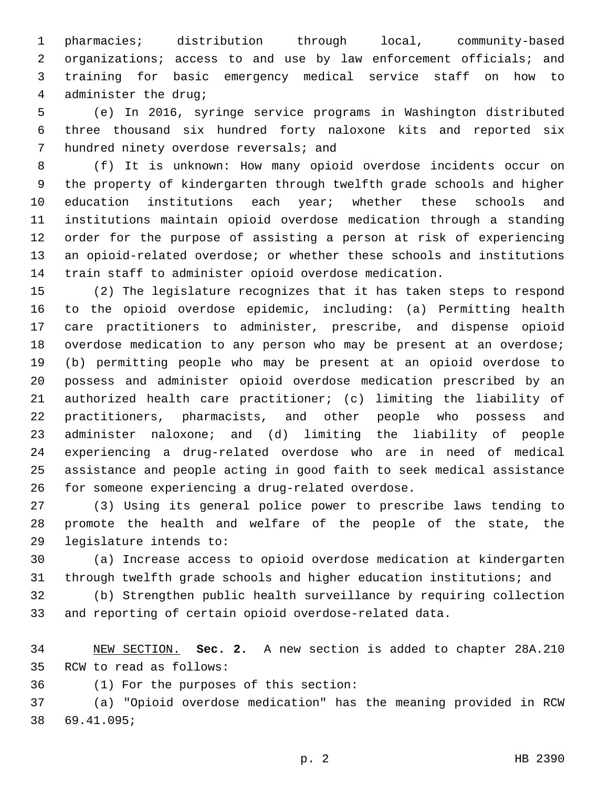pharmacies; distribution through local, community-based 2 organizations; access to and use by law enforcement officials; and training for basic emergency medical service staff on how to 4 administer the drug;

 (e) In 2016, syringe service programs in Washington distributed three thousand six hundred forty naloxone kits and reported six 7 hundred ninety overdose reversals; and

 (f) It is unknown: How many opioid overdose incidents occur on the property of kindergarten through twelfth grade schools and higher 10 education institutions each year; whether these schools and institutions maintain opioid overdose medication through a standing order for the purpose of assisting a person at risk of experiencing an opioid-related overdose; or whether these schools and institutions train staff to administer opioid overdose medication.

 (2) The legislature recognizes that it has taken steps to respond to the opioid overdose epidemic, including: (a) Permitting health care practitioners to administer, prescribe, and dispense opioid overdose medication to any person who may be present at an overdose; (b) permitting people who may be present at an opioid overdose to possess and administer opioid overdose medication prescribed by an authorized health care practitioner; (c) limiting the liability of practitioners, pharmacists, and other people who possess and administer naloxone; and (d) limiting the liability of people experiencing a drug-related overdose who are in need of medical assistance and people acting in good faith to seek medical assistance for someone experiencing a drug-related overdose.26

 (3) Using its general police power to prescribe laws tending to promote the health and welfare of the people of the state, the 29 legislature intends to:

 (a) Increase access to opioid overdose medication at kindergarten through twelfth grade schools and higher education institutions; and

 (b) Strengthen public health surveillance by requiring collection and reporting of certain opioid overdose-related data.

 NEW SECTION. **Sec. 2.** A new section is added to chapter 28A.210 35 RCW to read as follows:

(1) For the purposes of this section:36

 (a) "Opioid overdose medication" has the meaning provided in RCW 69.41.095;38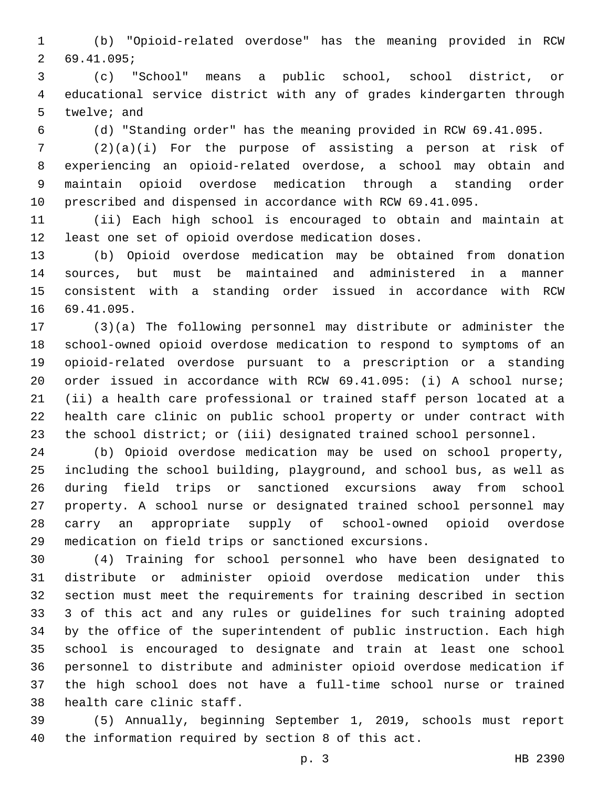(b) "Opioid-related overdose" has the meaning provided in RCW 69.41.095;2

 (c) "School" means a public school, school district, or educational service district with any of grades kindergarten through 5 twelve; and

(d) "Standing order" has the meaning provided in RCW 69.41.095.

 (2)(a)(i) For the purpose of assisting a person at risk of experiencing an opioid-related overdose, a school may obtain and maintain opioid overdose medication through a standing order prescribed and dispensed in accordance with RCW 69.41.095.

 (ii) Each high school is encouraged to obtain and maintain at least one set of opioid overdose medication doses.

 (b) Opioid overdose medication may be obtained from donation sources, but must be maintained and administered in a manner consistent with a standing order issued in accordance with RCW 16 69.41.095.

 (3)(a) The following personnel may distribute or administer the school-owned opioid overdose medication to respond to symptoms of an opioid-related overdose pursuant to a prescription or a standing order issued in accordance with RCW 69.41.095: (i) A school nurse; (ii) a health care professional or trained staff person located at a health care clinic on public school property or under contract with the school district; or (iii) designated trained school personnel.

 (b) Opioid overdose medication may be used on school property, including the school building, playground, and school bus, as well as during field trips or sanctioned excursions away from school property. A school nurse or designated trained school personnel may carry an appropriate supply of school-owned opioid overdose medication on field trips or sanctioned excursions.

 (4) Training for school personnel who have been designated to distribute or administer opioid overdose medication under this section must meet the requirements for training described in section 3 of this act and any rules or guidelines for such training adopted by the office of the superintendent of public instruction. Each high school is encouraged to designate and train at least one school personnel to distribute and administer opioid overdose medication if the high school does not have a full-time school nurse or trained 38 health care clinic staff.

 (5) Annually, beginning September 1, 2019, schools must report the information required by section 8 of this act.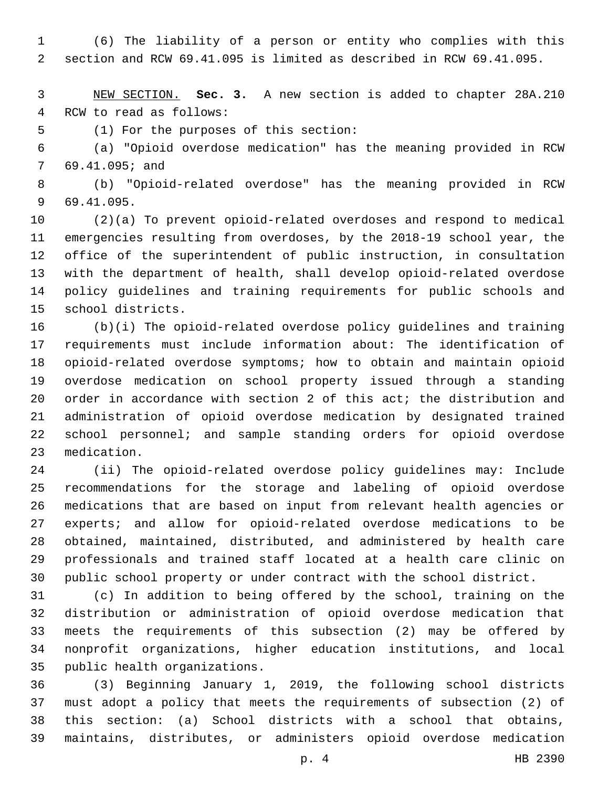(6) The liability of a person or entity who complies with this section and RCW 69.41.095 is limited as described in RCW 69.41.095.

 NEW SECTION. **Sec. 3.** A new section is added to chapter 28A.210 4 RCW to read as follows:

5 (1) For the purposes of this section:

 (a) "Opioid overdose medication" has the meaning provided in RCW 7 69.41.095; and

 (b) "Opioid-related overdose" has the meaning provided in RCW 69.41.095.9

 (2)(a) To prevent opioid-related overdoses and respond to medical emergencies resulting from overdoses, by the 2018-19 school year, the office of the superintendent of public instruction, in consultation with the department of health, shall develop opioid-related overdose policy guidelines and training requirements for public schools and 15 school districts.

 (b)(i) The opioid-related overdose policy guidelines and training requirements must include information about: The identification of opioid-related overdose symptoms; how to obtain and maintain opioid overdose medication on school property issued through a standing order in accordance with section 2 of this act; the distribution and administration of opioid overdose medication by designated trained school personnel; and sample standing orders for opioid overdose 23 medication.

 (ii) The opioid-related overdose policy guidelines may: Include recommendations for the storage and labeling of opioid overdose medications that are based on input from relevant health agencies or experts; and allow for opioid-related overdose medications to be obtained, maintained, distributed, and administered by health care professionals and trained staff located at a health care clinic on public school property or under contract with the school district.

 (c) In addition to being offered by the school, training on the distribution or administration of opioid overdose medication that meets the requirements of this subsection (2) may be offered by nonprofit organizations, higher education institutions, and local 35 public health organizations.

 (3) Beginning January 1, 2019, the following school districts must adopt a policy that meets the requirements of subsection (2) of this section: (a) School districts with a school that obtains, maintains, distributes, or administers opioid overdose medication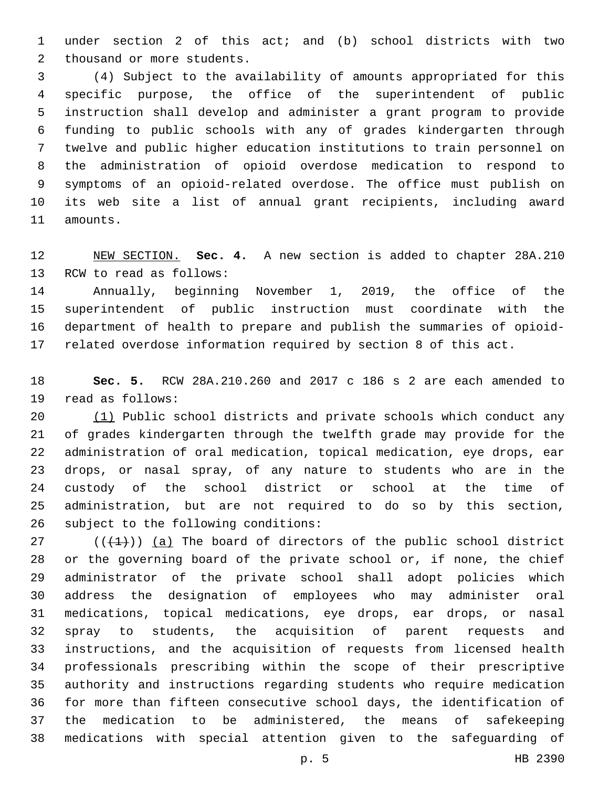under section 2 of this act; and (b) school districts with two 2 thousand or more students.

 (4) Subject to the availability of amounts appropriated for this specific purpose, the office of the superintendent of public instruction shall develop and administer a grant program to provide funding to public schools with any of grades kindergarten through twelve and public higher education institutions to train personnel on the administration of opioid overdose medication to respond to symptoms of an opioid-related overdose. The office must publish on its web site a list of annual grant recipients, including award 11 amounts.

 NEW SECTION. **Sec. 4.** A new section is added to chapter 28A.210 13 RCW to read as follows:

 Annually, beginning November 1, 2019, the office of the superintendent of public instruction must coordinate with the department of health to prepare and publish the summaries of opioid-related overdose information required by section 8 of this act.

 **Sec. 5.** RCW 28A.210.260 and 2017 c 186 s 2 are each amended to 19 read as follows:

 (1) Public school districts and private schools which conduct any of grades kindergarten through the twelfth grade may provide for the administration of oral medication, topical medication, eye drops, ear drops, or nasal spray, of any nature to students who are in the custody of the school district or school at the time of administration, but are not required to do so by this section, 26 subject to the following conditions:

 ( $(\overline{+1})$ ) (a) The board of directors of the public school district or the governing board of the private school or, if none, the chief administrator of the private school shall adopt policies which address the designation of employees who may administer oral medications, topical medications, eye drops, ear drops, or nasal spray to students, the acquisition of parent requests and instructions, and the acquisition of requests from licensed health professionals prescribing within the scope of their prescriptive authority and instructions regarding students who require medication for more than fifteen consecutive school days, the identification of the medication to be administered, the means of safekeeping medications with special attention given to the safeguarding of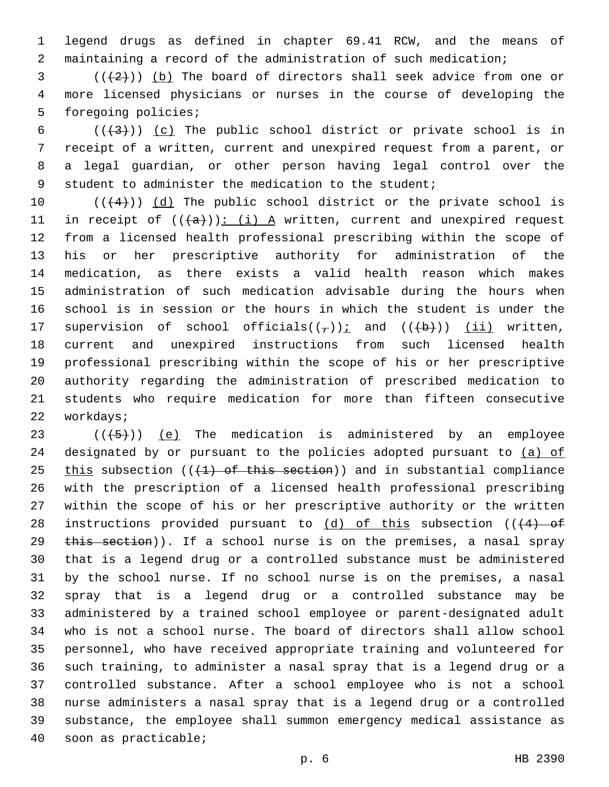legend drugs as defined in chapter 69.41 RCW, and the means of maintaining a record of the administration of such medication;

 $(1+2+1)$  (b) The board of directors shall seek advice from one or more licensed physicians or nurses in the course of developing the 5 foregoing policies;

 $((+3+))$  (c) The public school district or private school is in receipt of a written, current and unexpired request from a parent, or a legal guardian, or other person having legal control over the student to administer the medication to the student;

 $((+4))$   $(d)$  The public school district or the private school is 11 in receipt of  $((+a))$ : (i) A written, current and unexpired request from a licensed health professional prescribing within the scope of his or her prescriptive authority for administration of the medication, as there exists a valid health reason which makes administration of such medication advisable during the hours when school is in session or the hours in which the student is under the 17 supervision of school officials( $(\tau)$ ); and ( $(\overline{b})$ ) (ii) written, current and unexpired instructions from such licensed health professional prescribing within the scope of his or her prescriptive authority regarding the administration of prescribed medication to students who require medication for more than fifteen consecutive 22 workdays;

 $((+5+))$  (e) The medication is administered by an employee 24 designated by or pursuant to the policies adopted pursuant to (a) of 25 this subsection  $((1)$  of this section)) and in substantial compliance with the prescription of a licensed health professional prescribing within the scope of his or her prescriptive authority or the written 28 instructions provided pursuant to  $(d)$  of this subsection (( $\left(4\right)$  of 29 this section)). If a school nurse is on the premises, a nasal spray that is a legend drug or a controlled substance must be administered by the school nurse. If no school nurse is on the premises, a nasal spray that is a legend drug or a controlled substance may be administered by a trained school employee or parent-designated adult who is not a school nurse. The board of directors shall allow school personnel, who have received appropriate training and volunteered for such training, to administer a nasal spray that is a legend drug or a controlled substance. After a school employee who is not a school nurse administers a nasal spray that is a legend drug or a controlled substance, the employee shall summon emergency medical assistance as 40 soon as practicable;

p. 6 HB 2390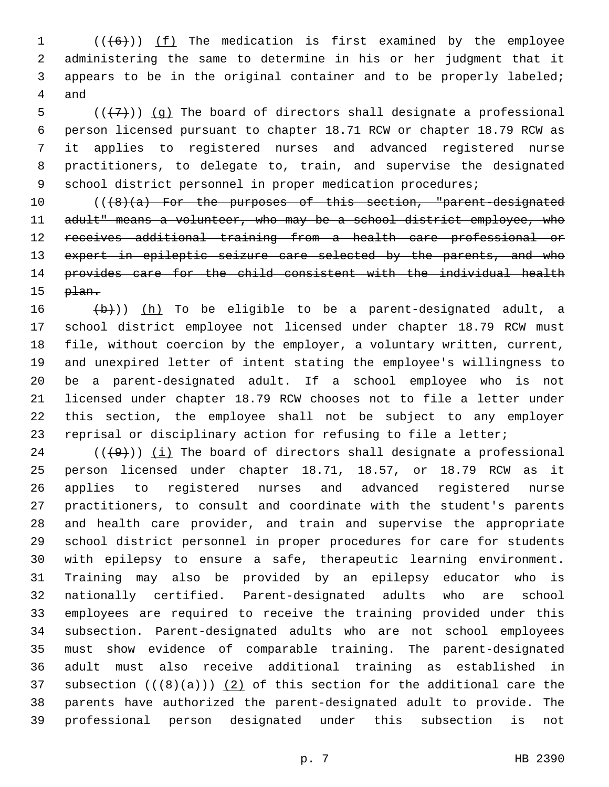1 (((6))) (f) The medication is first examined by the employee administering the same to determine in his or her judgment that it appears to be in the original container and to be properly labeled; 4 and

 $((+7)$ ) (g) The board of directors shall designate a professional person licensed pursuant to chapter 18.71 RCW or chapter 18.79 RCW as it applies to registered nurses and advanced registered nurse practitioners, to delegate to, train, and supervise the designated 9 school district personnel in proper medication procedures;

10 (((8)(a) For the purposes of this section, "parent-designated 11 adult" means a volunteer, who may be a school district employee, who receives additional training from a health care professional or 13 expert in epileptic seizure care selected by the parents, and who provides care for the child consistent with the individual health  $p$  $\overline{1}$ an.

 $(b)$ )) (h) To be eligible to be a parent-designated adult, a school district employee not licensed under chapter 18.79 RCW must file, without coercion by the employer, a voluntary written, current, and unexpired letter of intent stating the employee's willingness to be a parent-designated adult. If a school employee who is not licensed under chapter 18.79 RCW chooses not to file a letter under this section, the employee shall not be subject to any employer reprisal or disciplinary action for refusing to file a letter;

 (( $(49)$ )) <u>(i)</u> The board of directors shall designate a professional person licensed under chapter 18.71, 18.57, or 18.79 RCW as it applies to registered nurses and advanced registered nurse practitioners, to consult and coordinate with the student's parents and health care provider, and train and supervise the appropriate school district personnel in proper procedures for care for students with epilepsy to ensure a safe, therapeutic learning environment. Training may also be provided by an epilepsy educator who is nationally certified. Parent-designated adults who are school employees are required to receive the training provided under this subsection. Parent-designated adults who are not school employees must show evidence of comparable training. The parent-designated adult must also receive additional training as established in 37 subsection  $((+8)(a))$   $(2)$  of this section for the additional care the parents have authorized the parent-designated adult to provide. The professional person designated under this subsection is not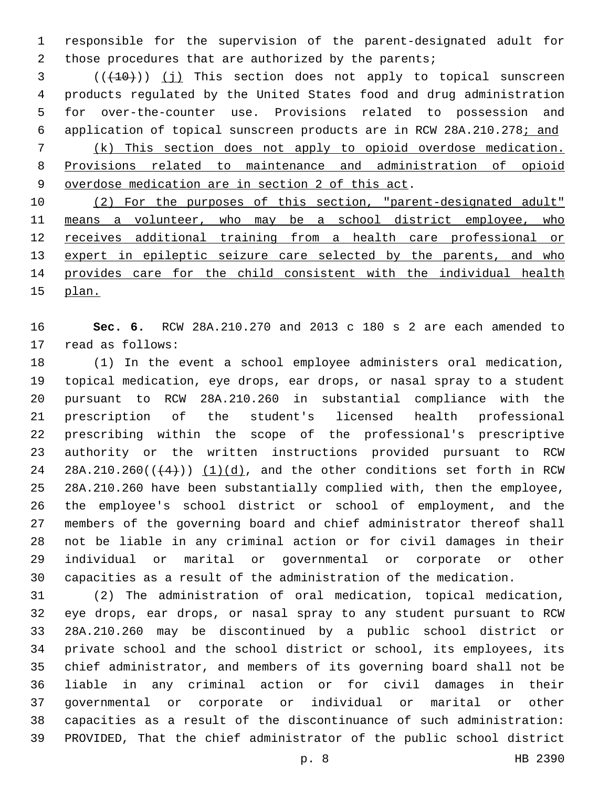responsible for the supervision of the parent-designated adult for 2 those procedures that are authorized by the parents;

3 (( $(10)$ ) (j) This section does not apply to topical sunscreen products regulated by the United States food and drug administration for over-the-counter use. Provisions related to possession and application of topical sunscreen products are in RCW 28A.210.278; and (k) This section does not apply to opioid overdose medication. Provisions related to maintenance and administration of opioid 9 overdose medication are in section 2 of this act.

 (2) For the purposes of this section, "parent-designated adult" means a volunteer, who may be a school district employee, who receives additional training from a health care professional or 13 expert in epileptic seizure care selected by the parents, and who provides care for the child consistent with the individual health plan.

 **Sec. 6.** RCW 28A.210.270 and 2013 c 180 s 2 are each amended to 17 read as follows:

 (1) In the event a school employee administers oral medication, topical medication, eye drops, ear drops, or nasal spray to a student pursuant to RCW 28A.210.260 in substantial compliance with the prescription of the student's licensed health professional prescribing within the scope of the professional's prescriptive authority or the written instructions provided pursuant to RCW 24 28A.210.260( $($  $($  $+4$  $)$ ))  $($ 1) $(d)$ , and the other conditions set forth in RCW 28A.210.260 have been substantially complied with, then the employee, the employee's school district or school of employment, and the members of the governing board and chief administrator thereof shall not be liable in any criminal action or for civil damages in their individual or marital or governmental or corporate or other capacities as a result of the administration of the medication.

 (2) The administration of oral medication, topical medication, eye drops, ear drops, or nasal spray to any student pursuant to RCW 28A.210.260 may be discontinued by a public school district or private school and the school district or school, its employees, its chief administrator, and members of its governing board shall not be liable in any criminal action or for civil damages in their governmental or corporate or individual or marital or other capacities as a result of the discontinuance of such administration: PROVIDED, That the chief administrator of the public school district

p. 8 HB 2390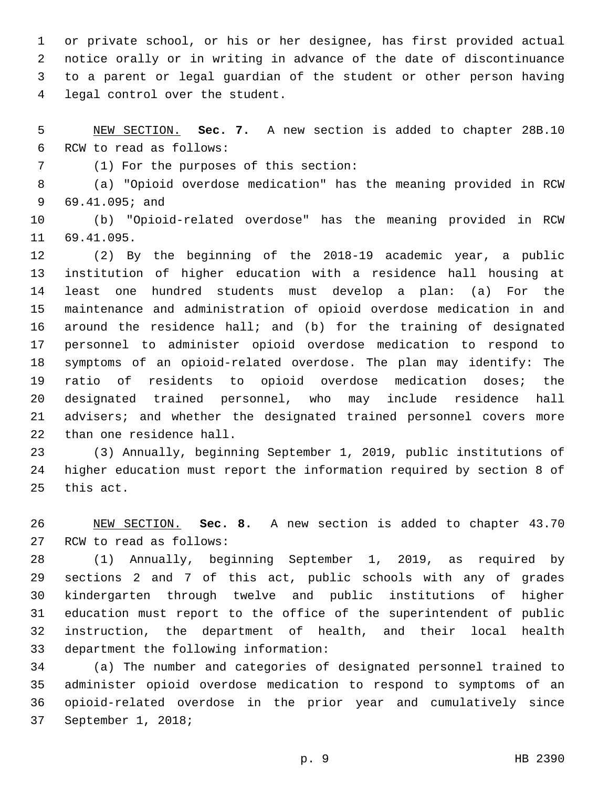or private school, or his or her designee, has first provided actual notice orally or in writing in advance of the date of discontinuance to a parent or legal guardian of the student or other person having 4 legal control over the student.

 NEW SECTION. **Sec. 7.** A new section is added to chapter 28B.10 6 RCW to read as follows:

(1) For the purposes of this section:7

 (a) "Opioid overdose medication" has the meaning provided in RCW 69.41.095; and9

 (b) "Opioid-related overdose" has the meaning provided in RCW 11 69.41.095.

 (2) By the beginning of the 2018-19 academic year, a public institution of higher education with a residence hall housing at least one hundred students must develop a plan: (a) For the maintenance and administration of opioid overdose medication in and around the residence hall; and (b) for the training of designated personnel to administer opioid overdose medication to respond to symptoms of an opioid-related overdose. The plan may identify: The ratio of residents to opioid overdose medication doses; the designated trained personnel, who may include residence hall advisers; and whether the designated trained personnel covers more 22 than one residence hall.

 (3) Annually, beginning September 1, 2019, public institutions of higher education must report the information required by section 8 of 25 this act.

 NEW SECTION. **Sec. 8.** A new section is added to chapter 43.70 27 RCW to read as follows:

 (1) Annually, beginning September 1, 2019, as required by sections 2 and 7 of this act, public schools with any of grades kindergarten through twelve and public institutions of higher education must report to the office of the superintendent of public instruction, the department of health, and their local health 33 department the following information:

 (a) The number and categories of designated personnel trained to administer opioid overdose medication to respond to symptoms of an opioid-related overdose in the prior year and cumulatively since 37 September 1, 2018;